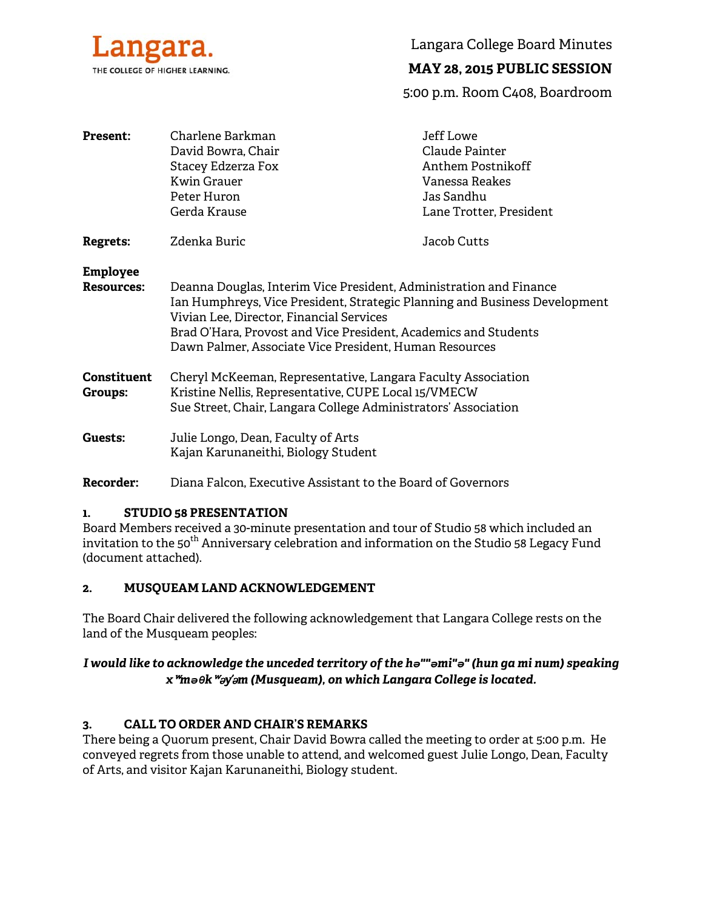

Langara College Board Minutes

# **MAY 28, 2015 PUBLIC SESSION**

5:00 p.m. Room C408, Boardroom

| <b>Present:</b>                      | Charlene Barkman<br>David Bowra, Chair<br>Stacey Edzerza Fox<br><b>Kwin Grauer</b><br>Peter Huron<br>Gerda Krause                                                                                                                                                                                                         | Jeff Lowe<br>Claude Painter<br>Anthem Postnikoff<br>Vanessa Reakes<br>Jas Sandhu<br>Lane Trotter, President |
|--------------------------------------|---------------------------------------------------------------------------------------------------------------------------------------------------------------------------------------------------------------------------------------------------------------------------------------------------------------------------|-------------------------------------------------------------------------------------------------------------|
| Regrets:                             | Zdenka Buric                                                                                                                                                                                                                                                                                                              | Jacob Cutts                                                                                                 |
| <b>Employee</b><br><b>Resources:</b> | Deanna Douglas, Interim Vice President, Administration and Finance<br>Ian Humphreys, Vice President, Strategic Planning and Business Development<br>Vivian Lee, Director, Financial Services<br>Brad O'Hara, Provost and Vice President, Academics and Students<br>Dawn Palmer, Associate Vice President, Human Resources |                                                                                                             |
| <b>Constituent</b><br>Groups:        | Cheryl McKeeman, Representative, Langara Faculty Association<br>Kristine Nellis, Representative, CUPE Local 15/VMECW<br>Sue Street, Chair, Langara College Administrators' Association                                                                                                                                    |                                                                                                             |
| Guests:                              | Julie Longo, Dean, Faculty of Arts<br>Kajan Karunaneithi, Biology Student                                                                                                                                                                                                                                                 |                                                                                                             |

# **Recorder:** Diana Falcon, Executive Assistant to the Board of Governors

### **1. STUDIO 58 PRESENTATION**

Board Members received a 30-minute presentation and tour of Studio 58 which included an invitation to the 50<sup>th</sup> Anniversary celebration and information on the Studio 58 Legacy Fund (document attached).

# **2. MUSQUEAM LAND ACKNOWLEDGEMENT**

The Board Chair delivered the following acknowledgement that Langara College rests on the land of the Musqueam peoples:

# *I would like to acknowledge the unceded territory of the hə""əmi"ə" (hun ga mi num) speaking x*ʷ*məθk*ʷə*y*̓ə*m (Musqueam), on which Langara College is located.*

### **3. CALL TO ORDER AND CHAIR'S REMARKS**

There being a Quorum present, Chair David Bowra called the meeting to order at 5:00 p.m. He conveyed regrets from those unable to attend, and welcomed guest Julie Longo, Dean, Faculty of Arts, and visitor Kajan Karunaneithi, Biology student.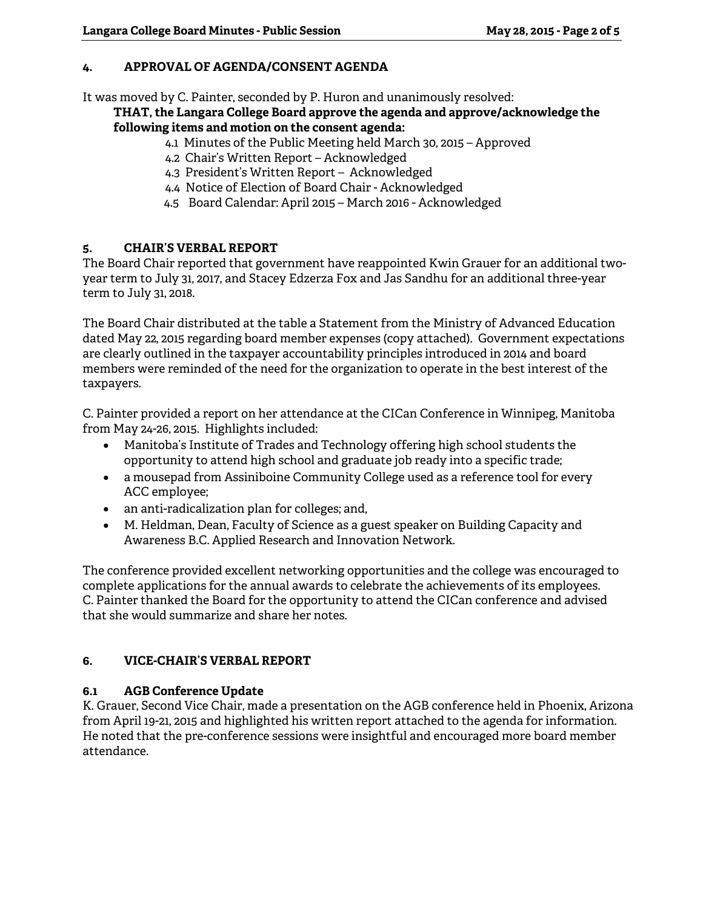# **4. APPROVAL OF AGENDA/CONSENT AGENDA**

It was moved by C. Painter, seconded by P. Huron and unanimously resolved:

**THAT, the Langara College Board approve the agenda and approve/acknowledge the following items and motion on the consent agenda:** 

- 4.1 Minutes of the Public Meeting held March 30, 2015 Approved
- 4.2 Chair's Written Report Acknowledged
- 4.3 President's Written Report Acknowledged
- 4.4 Notice of Election of Board Chair Acknowledged
- 4.5 Board Calendar: April 2015 March 2016 Acknowledged

# **5. CHAIR'S VERBAL REPORT**

The Board Chair reported that government have reappointed Kwin Grauer for an additional twoyear term to July 31, 2017, and Stacey Edzerza Fox and Jas Sandhu for an additional three-year term to July 31, 2018.

The Board Chair distributed at the table a Statement from the Ministry of Advanced Education dated May 22, 2015 regarding board member expenses (copy attached). Government expectations are clearly outlined in the taxpayer accountability principles introduced in 2014 and board members were reminded of the need for the organization to operate in the best interest of the taxpayers.

C. Painter provided a report on her attendance at the CICan Conference in Winnipeg, Manitoba from May 24-26, 2015. Highlights included:

- Manitoba's Institute of Trades and Technology offering high school students the opportunity to attend high school and graduate job ready into a specific trade;
- a mousepad from Assiniboine Community College used as a reference tool for every ACC employee;
- an anti-radicalization plan for colleges; and,
- M. Heldman, Dean, Faculty of Science as a guest speaker on Building Capacity and Awareness B.C. Applied Research and Innovation Network.

The conference provided excellent networking opportunities and the college was encouraged to complete applications for the annual awards to celebrate the achievements of its employees. C. Painter thanked the Board for the opportunity to attend the CICan conference and advised that she would summarize and share her notes.

### **6. VICE-CHAIR'S VERBAL REPORT**

# **6.1 AGB Conference Update**

K. Grauer, Second Vice Chair, made a presentation on the AGB conference held in Phoenix, Arizona from April 19-21, 2015 and highlighted his written report attached to the agenda for information. He noted that the pre-conference sessions were insightful and encouraged more board member attendance.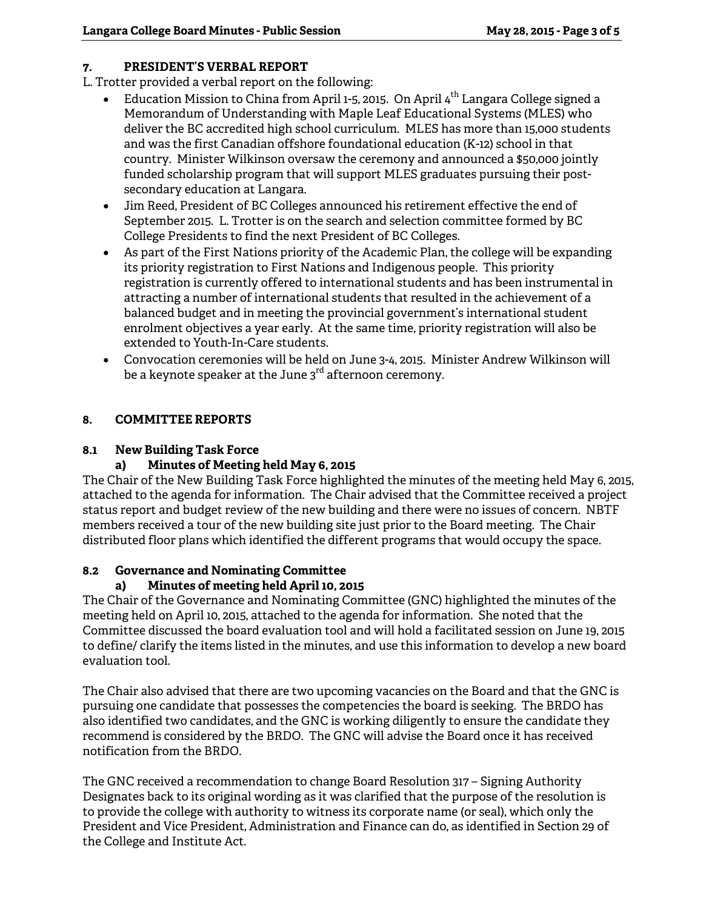# **7. PRESIDENT'S VERBAL REPORT**

L. Trotter provided a verbal report on the following:

- Education Mission to China from April 1-5, 2015. On April  $4<sup>th</sup>$  Langara College signed a Memorandum of Understanding with Maple Leaf Educational Systems (MLES) who deliver the BC accredited high school curriculum. MLES has more than 15,000 students and was the first Canadian offshore foundational education (K-12) school in that country. Minister Wilkinson oversaw the ceremony and announced a \$50,000 jointly funded scholarship program that will support MLES graduates pursuing their postsecondary education at Langara.
- Jim Reed, President of BC Colleges announced his retirement effective the end of September 2015. L. Trotter is on the search and selection committee formed by BC College Presidents to find the next President of BC Colleges.
- As part of the First Nations priority of the Academic Plan, the college will be expanding its priority registration to First Nations and Indigenous people. This priority registration is currently offered to international students and has been instrumental in attracting a number of international students that resulted in the achievement of a balanced budget and in meeting the provincial government's international student enrolment objectives a year early. At the same time, priority registration will also be extended to Youth-In-Care students.
- Convocation ceremonies will be held on June 3-4, 2015. Minister Andrew Wilkinson will be a keynote speaker at the June  $3<sup>rd</sup>$  afternoon ceremony.

# **8. COMMITTEE REPORTS**

# **8.1 New Building Task Force**

# **a) Minutes of Meeting held May 6, 2015**

The Chair of the New Building Task Force highlighted the minutes of the meeting held May 6, 2015, attached to the agenda for information. The Chair advised that the Committee received a project status report and budget review of the new building and there were no issues of concern. NBTF members received a tour of the new building site just prior to the Board meeting. The Chair distributed floor plans which identified the different programs that would occupy the space.

# **8.2 Governance and Nominating Committee**

# **a) Minutes of meeting held April 10, 2015**

The Chair of the Governance and Nominating Committee (GNC) highlighted the minutes of the meeting held on April 10, 2015, attached to the agenda for information. She noted that the Committee discussed the board evaluation tool and will hold a facilitated session on June 19, 2015 to define/ clarify the items listed in the minutes, and use this information to develop a new board evaluation tool.

The Chair also advised that there are two upcoming vacancies on the Board and that the GNC is pursuing one candidate that possesses the competencies the board is seeking. The BRDO has also identified two candidates, and the GNC is working diligently to ensure the candidate they recommend is considered by the BRDO. The GNC will advise the Board once it has received notification from the BRDO.

The GNC received a recommendation to change Board Resolution 317 – Signing Authority Designates back to its original wording as it was clarified that the purpose of the resolution is to provide the college with authority to witness its corporate name (or seal), which only the President and Vice President, Administration and Finance can do, as identified in Section 29 of the College and Institute Act.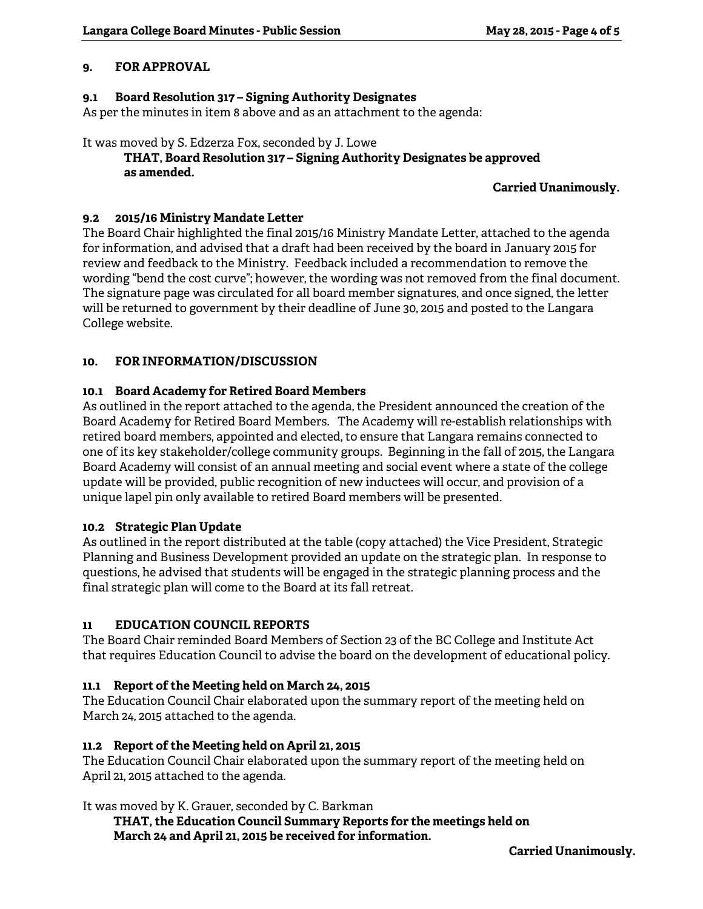### **9. FOR APPROVAL**

## **9.1 Board Resolution 317 – Signing Authority Designates**

As per the minutes in item 8 above and as an attachment to the agenda:

#### It was moved by S. Edzerza Fox, seconded by J. Lowe

# **THAT, Board Resolution 317 – Signing Authority Designates be approved as amended.**

**Carried Unanimously.** 

### **9.2 2015/16 Ministry Mandate Letter**

The Board Chair highlighted the final 2015/16 Ministry Mandate Letter, attached to the agenda for information, and advised that a draft had been received by the board in January 2015 for review and feedback to the Ministry. Feedback included a recommendation to remove the wording "bend the cost curve"; however, the wording was not removed from the final document. The signature page was circulated for all board member signatures, and once signed, the letter will be returned to government by their deadline of June 30, 2015 and posted to the Langara College website.

# **10. FOR INFORMATION/DISCUSSION**

# **10.1 Board Academy for Retired Board Members**

As outlined in the report attached to the agenda, the President announced the creation of the Board Academy for Retired Board Members. The Academy will re-establish relationships with retired board members, appointed and elected, to ensure that Langara remains connected to one of its key stakeholder/college community groups. Beginning in the fall of 2015, the Langara Board Academy will consist of an annual meeting and social event where a state of the college update will be provided, public recognition of new inductees will occur, and provision of a unique lapel pin only available to retired Board members will be presented.

### **10.2 Strategic Plan Update**

As outlined in the report distributed at the table (copy attached) the Vice President, Strategic Planning and Business Development provided an update on the strategic plan. In response to questions, he advised that students will be engaged in the strategic planning process and the final strategic plan will come to the Board at its fall retreat.

# **11 EDUCATION COUNCIL REPORTS**

The Board Chair reminded Board Members of Section 23 of the BC College and Institute Act that requires Education Council to advise the board on the development of educational policy.

### **11.1 Report of the Meeting held on March 24, 2015**

The Education Council Chair elaborated upon the summary report of the meeting held on March 24, 2015 attached to the agenda.

### **11.2 Report of the Meeting held on April 21, 2015**

The Education Council Chair elaborated upon the summary report of the meeting held on April 21, 2015 attached to the agenda.

### It was moved by K. Grauer, seconded by C. Barkman

 **THAT, the Education Council Summary Reports for the meetings held on March 24 and April 21, 2015 be received for information.**